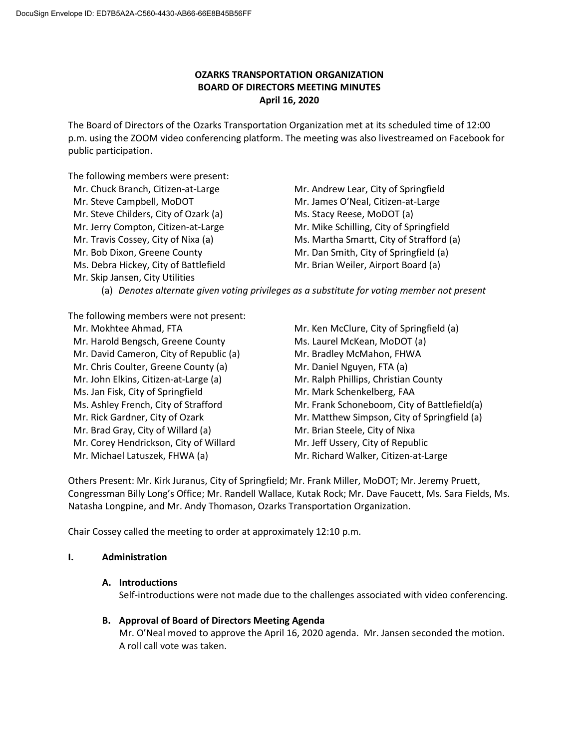# **OZARKS TRANSPORTATION ORGANIZATION BOARD OF DIRECTORS MEETING MINUTES April 16, 2020**

The Board of Directors of the Ozarks Transportation Organization met at its scheduled time of 12:00 p.m. using the ZOOM video conferencing platform. The meeting was also livestreamed on Facebook for public participation.

The following members were present:

Mr. Chuck Branch, Citizen-at-Large Mr. Andrew Lear, City of Springfield Mr. Steve Campbell, MoDOT Mr. James O'Neal, Citizen-at-Large Mr. Steve Childers, City of Ozark (a) Ms. Stacy Reese, MoDOT (a) Mr. Jerry Compton, Citizen-at-Large **Mr. Mike Schilling, City of Springfield** Mr. Travis Cossey, City of Nixa (a) Ms. Martha Smartt, City of Strafford (a) Mr. Bob Dixon, Greene County Mr. Dan Smith, City of Springfield (a) Ms. Debra Hickey, City of Battlefield Mr. Brian Weiler, Airport Board (a) Mr. Skip Jansen, City Utilities

(a) *Denotes alternate given voting privileges as a substitute for voting member not present*

The following members were not present:

- Mr. Mokhtee Ahmad, FTA Mr. Ken McClure, City of Springfield (a) Mr. Harold Bengsch, Greene County Ms. Laurel McKean, MoDOT (a) Mr. David Cameron, City of Republic (a) Mr. Bradley McMahon, FHWA Mr. Chris Coulter, Greene County (a) **Mr. Daniel Nguyen, FTA (a)** Mr. John Elkins, Citizen-at-Large (a) Mr. Ralph Phillips, Christian County Ms. Jan Fisk, City of Springfield Mr. Mark Schenkelberg, FAA Mr. Brad Gray, City of Willard (a) Mr. Brian Steele, City of Nixa Mr. Corey Hendrickson, City of Willard Mr. Jeff Ussery, City of Republic Mr. Michael Latuszek, FHWA (a) Mr. Richard Walker, Citizen-at-Large
- Ms. Ashley French, City of Strafford Mr. Frank Schoneboom, City of Battlefield(a) Mr. Rick Gardner, City of Ozark Mr. Matthew Simpson, City of Springfield (a)

Others Present: Mr. Kirk Juranus, City of Springfield; Mr. Frank Miller, MoDOT; Mr. Jeremy Pruett, Congressman Billy Long's Office; Mr. Randell Wallace, Kutak Rock; Mr. Dave Faucett, Ms. Sara Fields, Ms. Natasha Longpine, and Mr. Andy Thomason, Ozarks Transportation Organization.

Chair Cossey called the meeting to order at approximately 12:10 p.m.

# **I. Administration**

# **A. Introductions**

Self-introductions were not made due to the challenges associated with video conferencing.

**B. Approval of Board of Directors Meeting Agenda**

Mr. O'Neal moved to approve the April 16, 2020 agenda. Mr. Jansen seconded the motion. A roll call vote was taken.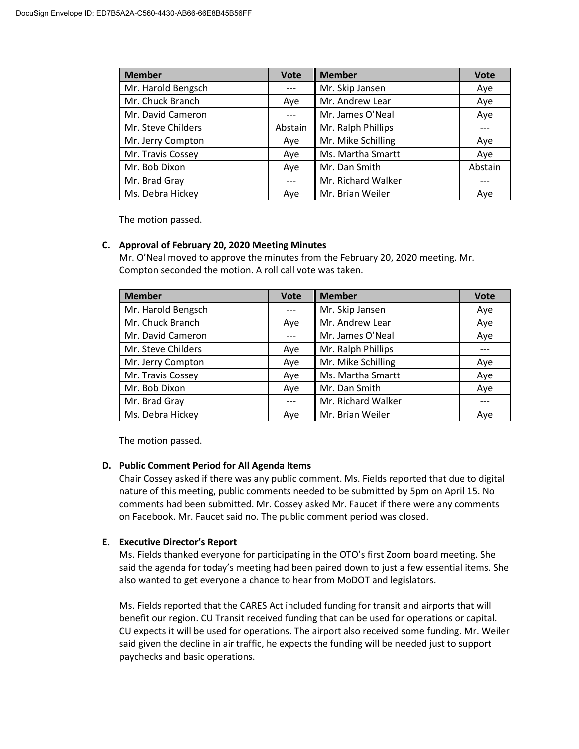| <b>Member</b>      | <b>Vote</b> | <b>Member</b>      | <b>Vote</b> |
|--------------------|-------------|--------------------|-------------|
| Mr. Harold Bengsch |             | Mr. Skip Jansen    | Aye         |
| Mr. Chuck Branch   | Aye         | Mr. Andrew Lear    | Aye         |
| Mr. David Cameron  |             | Mr. James O'Neal   | Aye         |
| Mr. Steve Childers | Abstain     | Mr. Ralph Phillips |             |
| Mr. Jerry Compton  | Aye         | Mr. Mike Schilling | Aye         |
| Mr. Travis Cossey  | Aye         | Ms. Martha Smartt  | Aye         |
| Mr. Bob Dixon      | Aye         | Mr. Dan Smith      | Abstain     |
| Mr. Brad Gray      |             | Mr. Richard Walker |             |
| Ms. Debra Hickey   | Ave         | Mr. Brian Weiler   | Aye         |

The motion passed.

### **C. Approval of February 20, 2020 Meeting Minutes**

Mr. O'Neal moved to approve the minutes from the February 20, 2020 meeting. Mr. Compton seconded the motion. A roll call vote was taken.

| <b>Member</b>      | <b>Vote</b> | <b>Member</b>      | <b>Vote</b> |
|--------------------|-------------|--------------------|-------------|
| Mr. Harold Bengsch |             | Mr. Skip Jansen    | Aye         |
| Mr. Chuck Branch   | Aye         | Mr. Andrew Lear    | Aye         |
| Mr. David Cameron  |             | Mr. James O'Neal   | Aye         |
| Mr. Steve Childers | Aye         | Mr. Ralph Phillips |             |
| Mr. Jerry Compton  | Aye         | Mr. Mike Schilling | Aye         |
| Mr. Travis Cossey  | Aye         | Ms. Martha Smartt  | Aye         |
| Mr. Bob Dixon      | Aye         | Mr. Dan Smith      | Aye         |
| Mr. Brad Gray      |             | Mr. Richard Walker |             |
| Ms. Debra Hickey   | Aye         | Mr. Brian Weiler   | Aye         |

The motion passed.

#### **D. Public Comment Period for All Agenda Items**

Chair Cossey asked if there was any public comment. Ms. Fields reported that due to digital nature of this meeting, public comments needed to be submitted by 5pm on April 15. No comments had been submitted. Mr. Cossey asked Mr. Faucet if there were any comments on Facebook. Mr. Faucet said no. The public comment period was closed.

# **E. Executive Director's Report**

Ms. Fields thanked everyone for participating in the OTO's first Zoom board meeting. She said the agenda for today's meeting had been paired down to just a few essential items. She also wanted to get everyone a chance to hear from MoDOT and legislators.

Ms. Fields reported that the CARES Act included funding for transit and airports that will benefit our region. CU Transit received funding that can be used for operations or capital. CU expects it will be used for operations. The airport also received some funding. Mr. Weiler said given the decline in air traffic, he expects the funding will be needed just to support paychecks and basic operations.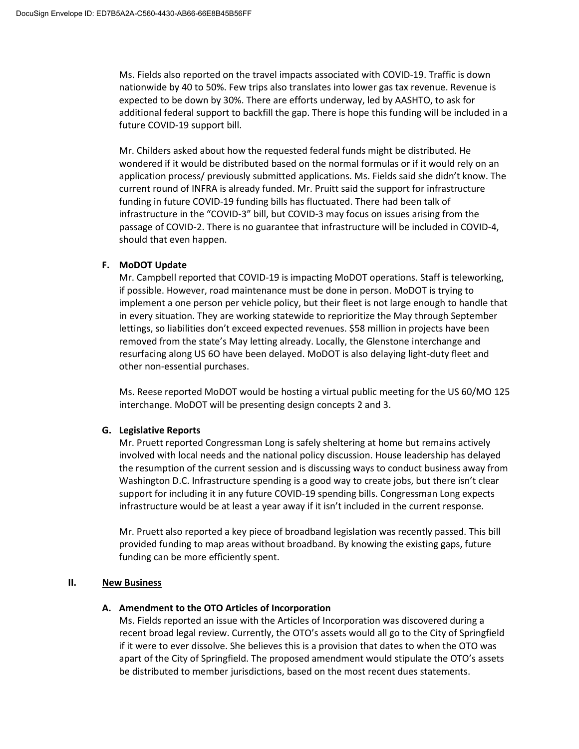Ms. Fields also reported on the travel impacts associated with COVID-19. Traffic is down nationwide by 40 to 50%. Few trips also translates into lower gas tax revenue. Revenue is expected to be down by 30%. There are efforts underway, led by AASHTO, to ask for additional federal support to backfill the gap. There is hope this funding will be included in a future COVID-19 support bill.

Mr. Childers asked about how the requested federal funds might be distributed. He wondered if it would be distributed based on the normal formulas or if it would rely on an application process/ previously submitted applications. Ms. Fields said she didn't know. The current round of INFRA is already funded. Mr. Pruitt said the support for infrastructure funding in future COVID-19 funding bills has fluctuated. There had been talk of infrastructure in the "COVID-3" bill, but COVID-3 may focus on issues arising from the passage of COVID-2. There is no guarantee that infrastructure will be included in COVID-4, should that even happen.

### **F. MoDOT Update**

Mr. Campbell reported that COVID-19 is impacting MoDOT operations. Staff is teleworking, if possible. However, road maintenance must be done in person. MoDOT is trying to implement a one person per vehicle policy, but their fleet is not large enough to handle that in every situation. They are working statewide to reprioritize the May through September lettings, so liabilities don't exceed expected revenues. \$58 million in projects have been removed from the state's May letting already. Locally, the Glenstone interchange and resurfacing along US 6O have been delayed. MoDOT is also delaying light-duty fleet and other non-essential purchases.

Ms. Reese reported MoDOT would be hosting a virtual public meeting for the US 60/MO 125 interchange. MoDOT will be presenting design concepts 2 and 3.

#### **G. Legislative Reports**

Mr. Pruett reported Congressman Long is safely sheltering at home but remains actively involved with local needs and the national policy discussion. House leadership has delayed the resumption of the current session and is discussing ways to conduct business away from Washington D.C. Infrastructure spending is a good way to create jobs, but there isn't clear support for including it in any future COVID-19 spending bills. Congressman Long expects infrastructure would be at least a year away if it isn't included in the current response.

Mr. Pruett also reported a key piece of broadband legislation was recently passed. This bill provided funding to map areas without broadband. By knowing the existing gaps, future funding can be more efficiently spent.

#### **II. New Business**

#### **A. Amendment to the OTO Articles of Incorporation**

Ms. Fields reported an issue with the Articles of Incorporation was discovered during a recent broad legal review. Currently, the OTO's assets would all go to the City of Springfield if it were to ever dissolve. She believes this is a provision that dates to when the OTO was apart of the City of Springfield. The proposed amendment would stipulate the OTO's assets be distributed to member jurisdictions, based on the most recent dues statements.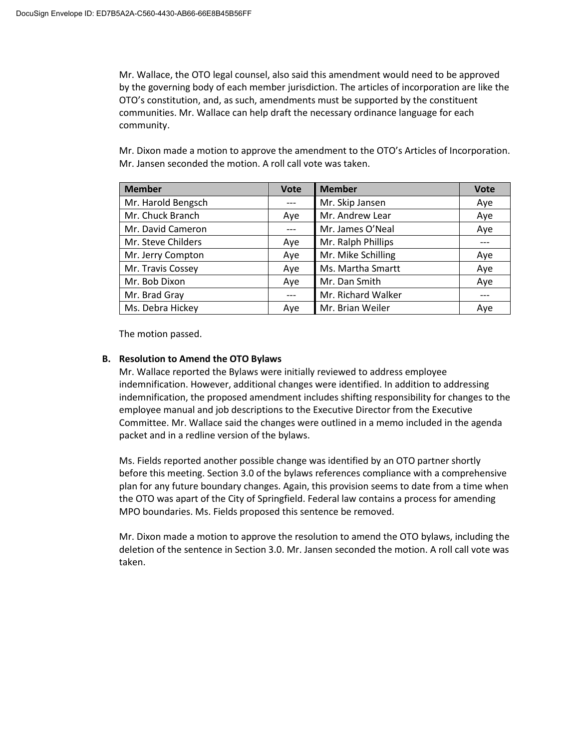Mr. Wallace, the OTO legal counsel, also said this amendment would need to be approved by the governing body of each member jurisdiction. The articles of incorporation are like the OTO's constitution, and, as such, amendments must be supported by the constituent communities. Mr. Wallace can help draft the necessary ordinance language for each community.

Mr. Dixon made a motion to approve the amendment to the OTO's Articles of Incorporation. Mr. Jansen seconded the motion. A roll call vote was taken.

| <b>Member</b>      | <b>Vote</b> | <b>Member</b>      | <b>Vote</b> |
|--------------------|-------------|--------------------|-------------|
| Mr. Harold Bengsch |             | Mr. Skip Jansen    | Aye         |
| Mr. Chuck Branch   | Aye         | Mr. Andrew Lear    | Aye         |
| Mr. David Cameron  |             | Mr. James O'Neal   | Aye         |
| Mr. Steve Childers | Aye         | Mr. Ralph Phillips |             |
| Mr. Jerry Compton  | Aye         | Mr. Mike Schilling | Aye         |
| Mr. Travis Cossey  | Aye         | Ms. Martha Smartt  | Aye         |
| Mr. Bob Dixon      | Aye         | Mr. Dan Smith      | Aye         |
| Mr. Brad Gray      |             | Mr. Richard Walker |             |
| Ms. Debra Hickey   | Aye         | Mr. Brian Weiler   | Aye         |

The motion passed.

#### **B. Resolution to Amend the OTO Bylaws**

Mr. Wallace reported the Bylaws were initially reviewed to address employee indemnification. However, additional changes were identified. In addition to addressing indemnification, the proposed amendment includes shifting responsibility for changes to the employee manual and job descriptions to the Executive Director from the Executive Committee. Mr. Wallace said the changes were outlined in a memo included in the agenda packet and in a redline version of the bylaws.

Ms. Fields reported another possible change was identified by an OTO partner shortly before this meeting. Section 3.0 of the bylaws references compliance with a comprehensive plan for any future boundary changes. Again, this provision seems to date from a time when the OTO was apart of the City of Springfield. Federal law contains a process for amending MPO boundaries. Ms. Fields proposed this sentence be removed.

Mr. Dixon made a motion to approve the resolution to amend the OTO bylaws, including the deletion of the sentence in Section 3.0. Mr. Jansen seconded the motion. A roll call vote was taken.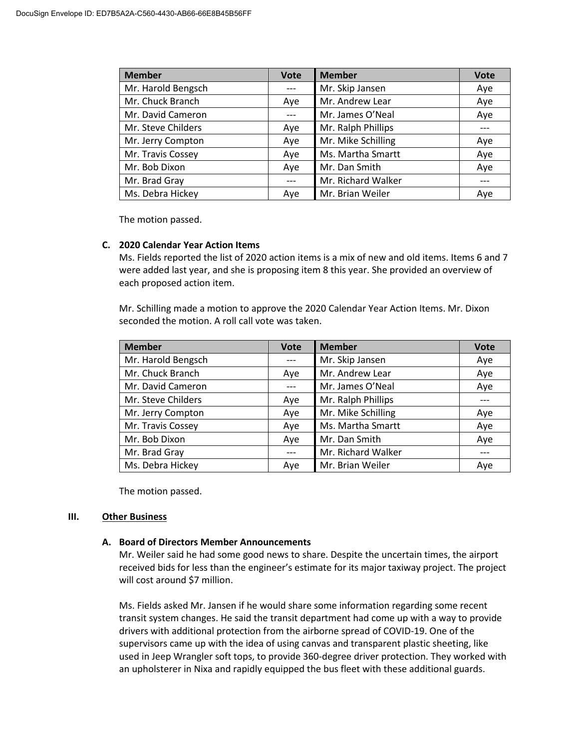| <b>Member</b>      | <b>Vote</b> | <b>Member</b>      | <b>Vote</b> |
|--------------------|-------------|--------------------|-------------|
| Mr. Harold Bengsch |             | Mr. Skip Jansen    | Aye         |
| Mr. Chuck Branch   | Aye         | Mr. Andrew Lear    | Aye         |
| Mr. David Cameron  |             | Mr. James O'Neal   | Aye         |
| Mr. Steve Childers | Aye         | Mr. Ralph Phillips |             |
| Mr. Jerry Compton  | Aye         | Mr. Mike Schilling | Aye         |
| Mr. Travis Cossey  | Aye         | Ms. Martha Smartt  | Aye         |
| Mr. Bob Dixon      | Ave         | Mr. Dan Smith      | Aye         |
| Mr. Brad Gray      | $---$       | Mr. Richard Walker |             |
| Ms. Debra Hickey   | Ave         | Mr. Brian Weiler   | Aye         |

The motion passed.

# **C. 2020 Calendar Year Action Items**

Ms. Fields reported the list of 2020 action items is a mix of new and old items. Items 6 and 7 were added last year, and she is proposing item 8 this year. She provided an overview of each proposed action item.

Mr. Schilling made a motion to approve the 2020 Calendar Year Action Items. Mr. Dixon seconded the motion. A roll call vote was taken.

| <b>Member</b>      | <b>Vote</b> | <b>Member</b>      | <b>Vote</b> |
|--------------------|-------------|--------------------|-------------|
| Mr. Harold Bengsch | $---$       | Mr. Skip Jansen    | Aye         |
| Mr. Chuck Branch   | Aye         | Mr. Andrew Lear    | Aye         |
| Mr. David Cameron  |             | Mr. James O'Neal   | Aye         |
| Mr. Steve Childers | Aye         | Mr. Ralph Phillips |             |
| Mr. Jerry Compton  | Aye         | Mr. Mike Schilling | Aye         |
| Mr. Travis Cossey  | Aye         | Ms. Martha Smartt  | Aye         |
| Mr. Bob Dixon      | Aye         | Mr. Dan Smith      | Aye         |
| Mr. Brad Gray      |             | Mr. Richard Walker |             |
| Ms. Debra Hickey   | Aye         | Mr. Brian Weiler   | Aye         |

The motion passed.

#### **III. Other Business**

#### **A. Board of Directors Member Announcements**

Mr. Weiler said he had some good news to share. Despite the uncertain times, the airport received bids for less than the engineer's estimate for its major taxiway project. The project will cost around \$7 million.

Ms. Fields asked Mr. Jansen if he would share some information regarding some recent transit system changes. He said the transit department had come up with a way to provide drivers with additional protection from the airborne spread of COVID-19. One of the supervisors came up with the idea of using canvas and transparent plastic sheeting, like used in Jeep Wrangler soft tops, to provide 360-degree driver protection. They worked with an upholsterer in Nixa and rapidly equipped the bus fleet with these additional guards.